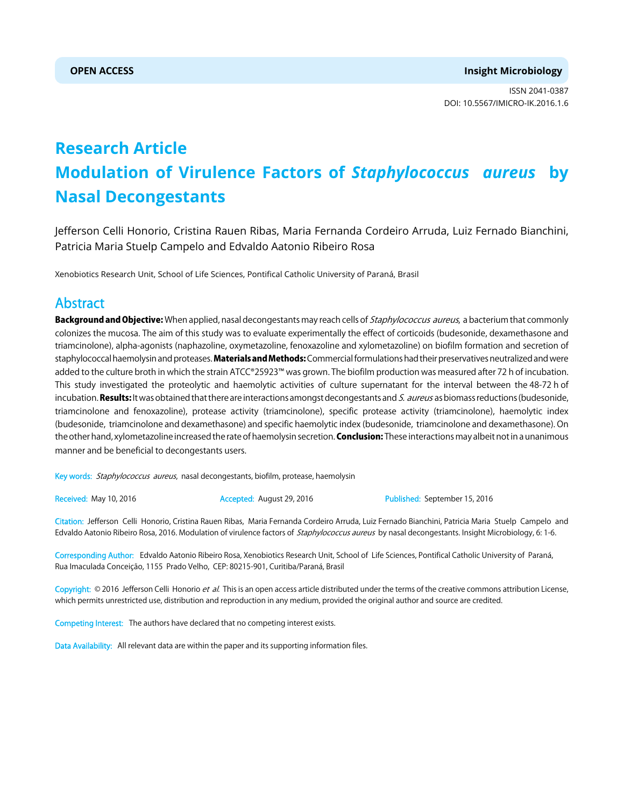ISSN 2041-0387 DOI: 10.5567/IMICRO-IK.2016.1.6

# **Research Article Modulation of Virulence Factors of** *Staphylococcus aureus* **by Nasal Decongestants**

Jefferson Celli Honorio, Cristina Rauen Ribas, Maria Fernanda Cordeiro Arruda, Luiz Fernado Bianchini, Patricia Maria Stuelp Campelo and Edvaldo Aatonio Ribeiro Rosa

Xenobiotics Research Unit, School of Life Sciences, Pontifical Catholic University of Paraná, Brasil

# Abstract

Background and Objective: When applied, nasal decongestants may reach cells of Staphylococcus aureus, a bacterium that commonly colonizes the mucosa. The aim of this study was to evaluate experimentally the effect of corticoids (budesonide, dexamethasone and triamcinolone), alpha-agonists (naphazoline, oxymetazoline, fenoxazoline and xylometazoline) on biofilm formation and secretion of staphylococcal haemolysin and proteases. Materials and Methods: Commercial formulations had their preservatives neutralized and were added to the culture broth in which the strain ATCC®25923™ was grown. The biofilm production was measured after 72 h of incubation. This study investigated the proteolytic and haemolytic activities of culture supernatant for the interval between the 48-72 h of incubation. Results: It was obtained that there are interactions amongst decongestants and S. aureus as biomass reductions (budesonide, triamcinolone and fenoxazoline), protease activity (triamcinolone), specific protease activity (triamcinolone), haemolytic index (budesonide, triamcinolone and dexamethasone) and specific haemolytic index (budesonide, triamcinolone and dexamethasone). On the other hand, xylometazoline increased the rate of haemolysin secretion. Conclusion: These interactions may albeit not in a unanimous manner and be beneficial to decongestants users.

Key words: Staphylococcus aureus, nasal decongestants, biofilm, protease, haemolysin

Received: May 10, 2016 **Accepted: August 29, 2016** Published: September 15, 2016

Citation: Jefferson Celli Honorio, Cristina Rauen Ribas, Maria Fernanda Cordeiro Arruda, Luiz Fernado Bianchini, Patricia Maria Stuelp Campelo and Edvaldo Aatonio Ribeiro Rosa, 2016. Modulation of virulence factors of Staphylococcus aureus by nasal decongestants. Insight Microbiology, 6: 1-6.

Corresponding Author: Edvaldo Aatonio Ribeiro Rosa, Xenobiotics Research Unit, School of Life Sciences, Pontifical Catholic University of Paraná, Rua Imaculada Conceição, 1155 Prado Velho, CEP: 80215-901, Curitiba/Paraná, Brasil

Copyright: © 2016 Jefferson Celli Honorio et al. This is an open access article distributed under the terms of the creative commons attribution License, which permits unrestricted use, distribution and reproduction in any medium, provided the original author and source are credited.

Competing Interest: The authors have declared that no competing interest exists.

Data Availability: All relevant data are within the paper and its supporting information files.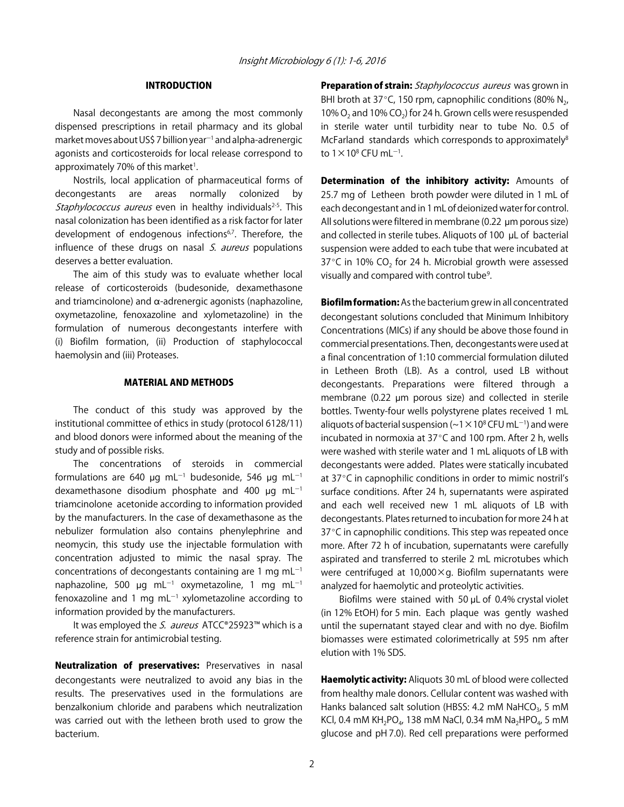## INTRODUCTION

Nasal decongestants are among the most commonly dispensed prescriptions in retail pharmacy and its global market moves about US\$ 7 billion year<sup>-1</sup> and alpha-adrenergic agonists and corticosteroids for local release correspond to approximately 70% of this market<sup>1</sup>.

Nostrils, local application of pharmaceutical forms of decongestants are areas normally colonized by Staphylococcus aureus even in healthy individuals<sup>2-5</sup>. This nasal colonization has been identified as a risk factor for later development of endogenous infections<sup>6,7</sup>. Therefore, the influence of these drugs on nasal  $S$ . *aureus* populations deserves a better evaluation.

The aim of this study was to evaluate whether local release of corticosteroids (budesonide, dexamethasone and triamcinolone) and  $\alpha$ -adrenergic agonists (naphazoline, oxymetazoline, fenoxazoline and xylometazoline) in the formulation of numerous decongestants interfere with (i) Biofilm formation, (ii) Production of staphylococcal haemolysin and (iii) Proteases.

#### MATERIAL AND METHODS

The conduct of this study was approved by the institutional committee of ethics in study (protocol 6128/11) and blood donors were informed about the meaning of the study and of possible risks.

The concentrations of steroids in commercial formulations are 640  $\mu$ g mL<sup>-1</sup> budesonide, 546  $\mu$ g mL<sup>-1</sup> dexamethasone disodium phosphate and 400  $\mu$ g mL<sup>-1</sup> triamcinolone acetonide according to information provided by the manufacturers. In the case of dexamethasone as the nebulizer formulation also contains phenylephrine and neomycin, this study use the injectable formulation with concentration adjusted to mimic the nasal spray. The concentrations of decongestants containing are 1 mg  $mL^{-1}$ naphazoline, 500 µg mL<sup>-1</sup> oxymetazoline, 1 mg mL<sup>-1</sup> fenoxazoline and 1 mg mL $^{-1}$  xylometazoline according to information provided by the manufacturers.

It was employed the S. aureus ATCC®25923™ which is a reference strain for antimicrobial testing.

Neutralization of preservatives: Preservatives in nasal decongestants were neutralized to avoid any bias in the results. The preservatives used in the formulations are benzalkonium chloride and parabens which neutralization was carried out with the letheen broth used to grow the bacterium.

**Preparation of strain:** Staphylococcus aureus was grown in BHI broth at 37 $\degree$ C, 150 rpm, capnophilic conditions (80% N<sub>2</sub>, 10%  $O_2$  and 10% CO<sub>2</sub>) for 24 h. Grown cells were resuspended in sterile water until turbidity near to tube No. 0.5 of McFarland standards which corresponds to approximately<sup>8</sup> to 1 $\times$ 10 $^{\rm 8}$  CFU mL $^{-1}$ .

Determination of the inhibitory activity: Amounts of 25.7 mg of Letheen broth powder were diluted in 1 mL of each decongestant and in 1 mL of deionized water for control. All solutions were filtered in membrane  $(0.22 \mu m)$  porous size) and collected in sterile tubes. Aliquots of 100  $\mu$ L of bacterial suspension were added to each tube that were incubated at 37 $\degree$ C in 10% CO<sub>2</sub> for 24 h. Microbial growth were assessed visually and compared with control tube<sup>9</sup>.

Biofilm formation: As the bacterium grew in all concentrated decongestant solutions concluded that Minimum Inhibitory Concentrations (MICs) if any should be above those found in commercial presentations. Then, decongestants were used at a final concentration of 1:10 commercial formulation diluted in Letheen Broth (LB). As a control, used LB without decongestants. Preparations were filtered through a membrane (0.22 µm porous size) and collected in sterile bottles. Twenty-four wells polystyrene plates received 1 mL aliquots of bacterial suspension ( $\sim$ 1 $\times$ 10<sup>8</sup> CFU mL<sup>-1</sup>) and were incubated in normoxia at  $37^{\circ}$ C and 100 rpm. After 2 h, wells were washed with sterile water and 1 mL aliquots of LB with decongestants were added. Plates were statically incubated at 37°C in capnophilic conditions in order to mimic nostril's surface conditions. After 24 h, supernatants were aspirated and each well received new 1 mL aliquots of LB with decongestants. Plates returned to incubation for more 24 h at  $37^{\circ}$ C in capnophilic conditions. This step was repeated once more. After 72 h of incubation, supernatants were carefully aspirated and transferred to sterile 2 mL microtubes which were centrifuged at  $10,000 \times g$ . Biofilm supernatants were analyzed for haemolytic and proteolytic activities.

Biofilms were stained with 50 µL of 0.4% crystal violet (in 12% EtOH) for 5 min. Each plaque was gently washed until the supernatant stayed clear and with no dye. Biofilm biomasses were estimated colorimetrically at 595 nm after elution with 1% SDS.

Haemolytic activity: Aliquots 30 mL of blood were collected from healthy male donors. Cellular content was washed with Hanks balanced salt solution (HBSS: 4.2 mM NaHCO $_3$ , 5 mM KCl, 0.4 mM KH<sub>2</sub>PO<sub>4</sub>, 138 mM NaCl, 0.34 mM Na<sub>2</sub>HPO<sub>4</sub>, 5 mM glucose and pH 7.0). Red cell preparations were performed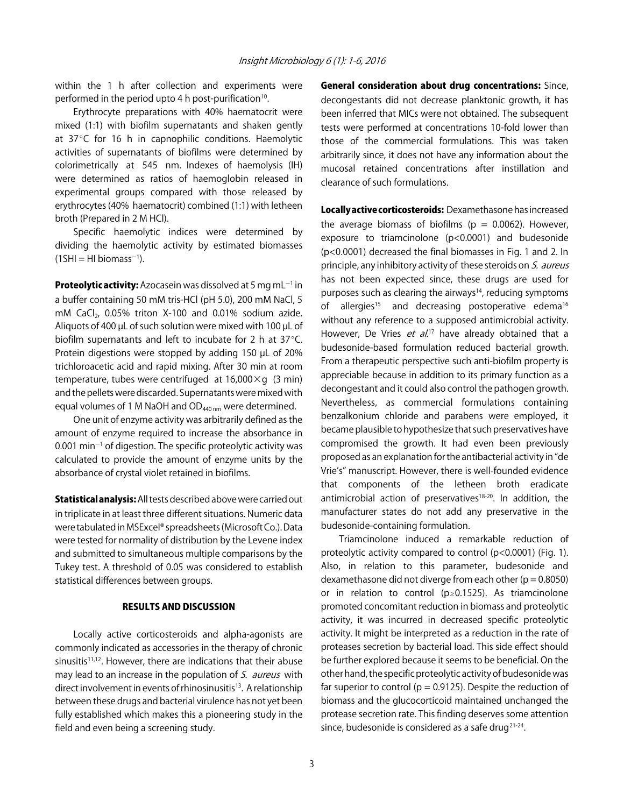within the 1 h after collection and experiments were performed in the period upto 4 h post-purification<sup>10</sup>.

Erythrocyte preparations with 40% haematocrit were mixed (1:1) with biofilm supernatants and shaken gently at  $37^{\circ}$ C for 16 h in capnophilic conditions. Haemolytic activities of supernatants of biofilms were determined by colorimetrically at 545 nm. Indexes of haemolysis (IH) were determined as ratios of haemoglobin released in experimental groups compared with those released by erythrocytes (40% haematocrit) combined (1:1) with letheen broth (Prepared in 2 M HCl).

Specific haemolytic indices were determined by dividing the haemolytic activity by estimated biomasses  $(1SH = H1 \text{ biomass}^{-1}).$ 

Proteolytic activity: Azocasein was dissolved at 5 mg mL<sup>-1</sup> in a buffer containing 50 mM tris-HCl (pH 5.0), 200 mM NaCl, 5 mM CaCl<sub>2</sub>, 0.05% triton X-100 and 0.01% sodium azide. Aliquots of 400 µL of such solution were mixed with 100 µL of biofilm supernatants and left to incubate for 2 h at  $37^{\circ}$ C. Protein digestions were stopped by adding 150  $\mu$ L of 20% trichloroacetic acid and rapid mixing. After 30 min at room temperature, tubes were centrifuged at  $16,000 \times g$  (3 min) and the pellets were discarded. Supernatants were mixed with equal volumes of 1 M NaOH and  $OD_{440 \text{ nm}}$  were determined.

One unit of enzyme activity was arbitrarily defined as the amount of enzyme required to increase the absorbance in  $0.001$  min<sup>-1</sup> of digestion. The specific proteolytic activity was calculated to provide the amount of enzyme units by the absorbance of crystal violet retained in biofilms.

Statistical analysis: All tests described above were carried out in triplicate in at least three different situations. Numeric data were tabulated in MSExcel® spreadsheets (Microsoft Co.). Data were tested for normality of distribution by the Levene index and submitted to simultaneous multiple comparisons by the Tukey test. A threshold of 0.05 was considered to establish statistical differences between groups.

#### RESULTS AND DISCUSSION

Locally active corticosteroids and alpha-agonists are commonly indicated as accessories in the therapy of chronic sinusitis<sup>11,12</sup>. However, there are indications that their abuse may lead to an increase in the population of S. aureus with direct involvement in events of rhinosinusitis<sup>13</sup>. A relationship between these drugs and bacterial virulence has not yet been fully established which makes this a pioneering study in the field and even being a screening study.

General consideration about drug concentrations: Since, decongestants did not decrease planktonic growth, it has been inferred that MICs were not obtained. The subsequent tests were performed at concentrations 10-fold lower than those of the commercial formulations. This was taken arbitrarily since, it does not have any information about the mucosal retained concentrations after instillation and clearance of such formulations.

Locally active corticosteroids: Dexamethasone has increased the average biomass of biofilms ( $p = 0.0062$ ). However, exposure to triamcinolone (p<0.0001) and budesonide (p<0.0001) decreased the final biomasses in Fig. 1 and 2. In principle, any inhibitory activity of these steroids on S. aureus has not been expected since, these drugs are used for purposes such as clearing the airways<sup>14</sup>, reducing symptoms of allergies<sup>15</sup> and decreasing postoperative edema<sup>16</sup> without any reference to a supposed antimicrobial activity. However, De Vries *et al*.<sup>17</sup> have already obtained that a budesonide-based formulation reduced bacterial growth. From a therapeutic perspective such anti-biofilm property is appreciable because in addition to its primary function as a decongestant and it could also control the pathogen growth. Nevertheless, as commercial formulations containing benzalkonium chloride and parabens were employed, it became plausible to hypothesize that such preservatives have compromised the growth. It had even been previously proposed as an explanation for the antibacterial activity in "de Vrie's" manuscript. However, there is well-founded evidence that components of the letheen broth eradicate antimicrobial action of preservatives $18-20$ . In addition, the manufacturer states do not add any preservative in the budesonide-containing formulation.

Triamcinolone induced a remarkable reduction of proteolytic activity compared to control (p<0.0001) (Fig. 1). Also, in relation to this parameter, budesonide and dexamethasone did not diverge from each other ( $p = 0.8050$ ) or in relation to control ( $p \ge 0.1525$ ). As triamcinolone promoted concomitant reduction in biomass and proteolytic activity, it was incurred in decreased specific proteolytic activity. It might be interpreted as a reduction in the rate of proteases secretion by bacterial load. This side effect should be further explored because it seems to be beneficial. On the other hand, the specific proteolytic activity of budesonide was far superior to control ( $p = 0.9125$ ). Despite the reduction of biomass and the glucocorticoid maintained unchanged the protease secretion rate. This finding deserves some attention since, budesonide is considered as a safe drug<sup>21-24</sup>.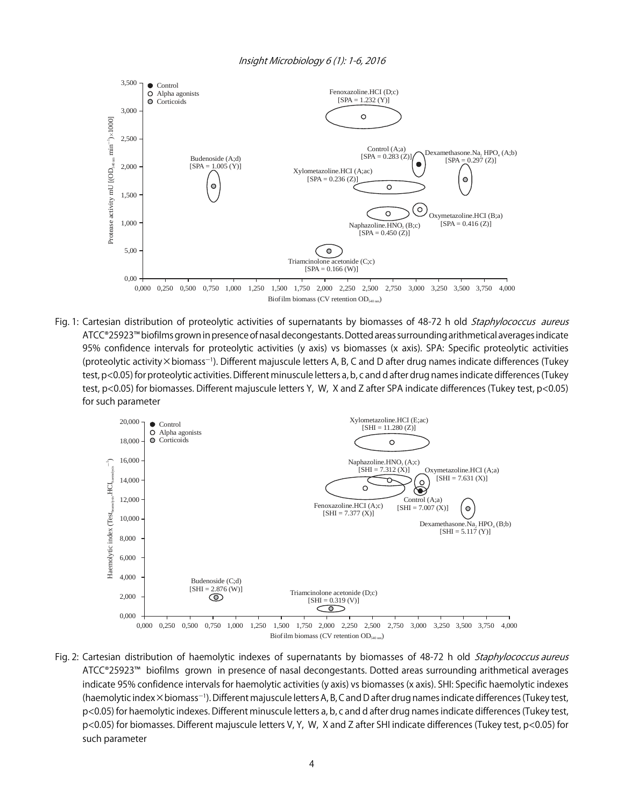

Fig. 1: Cartesian distribution of proteolytic activities of supernatants by biomasses of 48-72 h old Staphylococcus aureus ATCC®25923™ biofilms grown in presence of nasal decongestants. Dotted areas surrounding arithmetical averages indicate 95% confidence intervals for proteolytic activities (y axis) vs biomasses (x axis). SPA: Specific proteolytic activities (proteolytic activity×biomass<sup>-1</sup>). Different majuscule letters A, B, C and D after drug names indicate differences (Tukey test, p<0.05) for proteolytic activities. Different minuscule letters a, b, c and d after drug names indicate differences (Tukey test, p<0.05) for biomasses. Different majuscule letters Y, W, X and Z after SPA indicate differences (Tukey test, p<0.05) for such parameter



Fig. 2: Cartesian distribution of haemolytic indexes of supernatants by biomasses of 48-72 h old Staphylococcus aureus ATCC®25923™ biofilms grown in presence of nasal decongestants. Dotted areas surrounding arithmetical averages indicate 95% confidence intervals for haemolytic activities (y axis) vs biomasses (x axis). SHI: Specific haemolytic indexes (haemolytic index×biomass<sup>-1</sup>). Different majuscule letters A, B, C and D after drug names indicate differences (Tukey test, p<0.05) for haemolytic indexes. Different minuscule letters a, b, c and d after drug names indicate differences (Tukey test, p<0.05) for biomasses. Different majuscule letters V, Y, W, X and Z after SHI indicate differences (Tukey test, p<0.05) for such parameter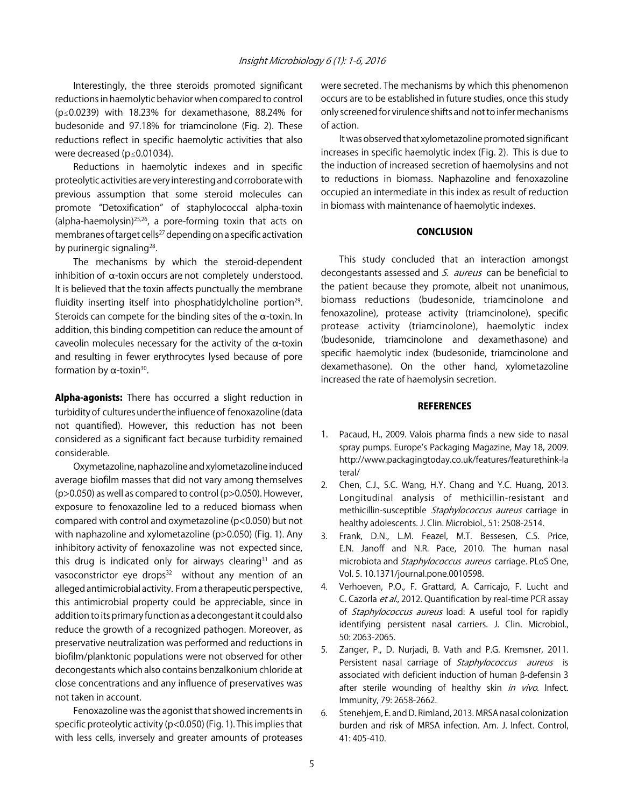Interestingly, the three steroids promoted significant reductions in haemolytic behavior when compared to control ( $p \le 0.0239$ ) with 18.23% for dexamethasone, 88.24% for budesonide and 97.18% for triamcinolone (Fig. 2). These reductions reflect in specific haemolytic activities that also were decreased ( $p \le 0.01034$ ).

Reductions in haemolytic indexes and in specific proteolytic activities are very interesting and corroborate with previous assumption that some steroid molecules can promote "Detoxification" of staphylococcal alpha-toxin (alpha-haemolysin)<sup>25,26</sup>, a pore-forming toxin that acts on membranes of target cells<sup>27</sup> depending on a specific activation by purinergic signaling<sup>28</sup>.

The mechanisms by which the steroid-dependent inhibition of  $\alpha$ -toxin occurs are not completely understood. It is believed that the toxin affects punctually the membrane fluidity inserting itself into phosphatidylcholine portion<sup>29</sup>. Steroids can compete for the binding sites of the  $\alpha$ -toxin. In addition, this binding competition can reduce the amount of caveolin molecules necessary for the activity of the  $\alpha$ -toxin and resulting in fewer erythrocytes lysed because of pore formation by  $\alpha$ -toxin<sup>30</sup>.

Alpha-agonists: There has occurred a slight reduction in turbidity of cultures under the influence of fenoxazoline (data not quantified). However, this reduction has not been considered as a significant fact because turbidity remained considerable.

Oxymetazoline, naphazoline and xylometazoline induced average biofilm masses that did not vary among themselves (p>0.050) as well as compared to control (p>0.050). However, exposure to fenoxazoline led to a reduced biomass when compared with control and oxymetazoline (p<0.050) but not with naphazoline and xylometazoline (p>0.050) (Fig. 1). Any inhibitory activity of fenoxazoline was not expected since, this drug is indicated only for airways clearing $31$  and as vasoconstrictor eye drops $32$  without any mention of an alleged antimicrobial activity. From a therapeutic perspective, this antimicrobial property could be appreciable, since in addition to its primary function as a decongestant it could also reduce the growth of a recognized pathogen. Moreover, as preservative neutralization was performed and reductions in biofilm/planktonic populations were not observed for other decongestants which also contains benzalkonium chloride at close concentrations and any influence of preservatives was not taken in account.

Fenoxazoline was the agonist that showed increments in specific proteolytic activity (p<0.050) (Fig. 1). This implies that with less cells, inversely and greater amounts of proteases

were secreted. The mechanisms by which this phenomenon occurs are to be established in future studies, once this study only screened for virulence shifts and not to infer mechanisms of action.

It was observed that xylometazoline promoted significant increases in specific haemolytic index (Fig. 2). This is due to the induction of increased secretion of haemolysins and not to reductions in biomass. Naphazoline and fenoxazoline occupied an intermediate in this index as result of reduction in biomass with maintenance of haemolytic indexes.

### **CONCLUSION**

This study concluded that an interaction amongst decongestants assessed and S. aureus can be beneficial to the patient because they promote, albeit not unanimous, biomass reductions (budesonide, triamcinolone and fenoxazoline), protease activity (triamcinolone), specific protease activity (triamcinolone), haemolytic index (budesonide, triamcinolone and dexamethasone) and specific haemolytic index (budesonide, triamcinolone and dexamethasone). On the other hand, xylometazoline increased the rate of haemolysin secretion.

#### **REFERENCES**

- 1. Pacaud, H., 2009. Valois pharma finds a new side to nasal spray pumps. Europe's Packaging Magazine, May 18, 2009. http://www.packagingtoday.co.uk/features/featurethink-la teral/
- 2. Chen, C.J., S.C. Wang, H.Y. Chang and Y.C. Huang, 2013. Longitudinal analysis of methicillin-resistant and methicillin-susceptible Staphylococcus aureus carriage in healthy adolescents. J. Clin. Microbiol., 51: 2508-2514.
- 3. Frank, D.N., L.M. Feazel, M.T. Bessesen, C.S. Price, E.N. Janoff and N.R. Pace, 2010. The human nasal microbiota and Staphylococcus aureus carriage. PLoS One, Vol. 5. 10.1371/journal.pone.0010598.
- 4. Verhoeven, P.O., F. Grattard, A. Carricajo, F. Lucht and C. Cazorla et al., 2012. Quantification by real-time PCR assay of *Staphylococcus aureus* load: A useful tool for rapidly identifying persistent nasal carriers. J. Clin. Microbiol., 50: 2063-2065.
- 5. Zanger, P., D. Nurjadi, B. Vath and P.G. Kremsner, 2011. Persistent nasal carriage of Staphylococcus aureus is associated with deficient induction of human  $\beta$ -defensin 3 after sterile wounding of healthy skin in vivo. Infect. Immunity, 79: 2658-2662.
- 6. Stenehjem, E. and D. Rimland, 2013. MRSA nasal colonization burden and risk of MRSA infection. Am. J. Infect. Control,  $41.405 - 410$